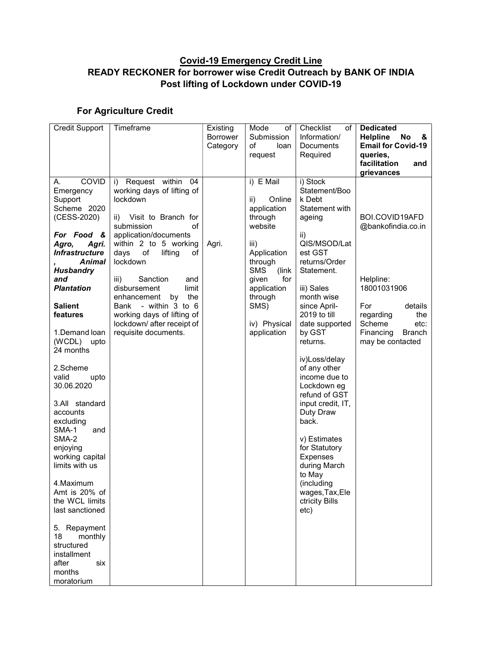## Covid-19 Emergency Credit Line READY RECKONER for borrower wise Credit Outreach by BANK OF INDIA Post lifting of Lockdown under COVID-19

## For Agriculture Credit

| <b>Credit Support</b>           | Timeframe                               | Existing        | Mode<br>of             | Checklist<br>of                | <b>Dedicated</b>           |
|---------------------------------|-----------------------------------------|-----------------|------------------------|--------------------------------|----------------------------|
|                                 |                                         | <b>Borrower</b> | Submission             | Information/                   | <b>Helpline</b><br>No<br>& |
|                                 |                                         | Category        | of<br>loan             | Documents                      | <b>Email for Covid-19</b>  |
|                                 |                                         |                 | request                | Required                       | queries.                   |
|                                 |                                         |                 |                        |                                | facilitation<br>and        |
|                                 |                                         |                 |                        |                                | grievances                 |
| <b>COVID</b><br>А.              | Request within<br>04<br>i)              |                 | i) E Mail              | i) Stock                       |                            |
| Emergency                       | working days of lifting of              |                 |                        | Statement/Boo                  |                            |
| Support                         | lockdown                                |                 | ii)<br>Online          | k Debt                         |                            |
| Scheme 2020                     |                                         |                 | application            | Statement with                 |                            |
| (CESS-2020)                     | Visit to Branch for<br>ii)              |                 | through                | ageing                         | BOI.COVID19AFD             |
|                                 | submission<br>of                        |                 | website                |                                | @bankofindia.co.in         |
| For Food &                      | application/documents                   |                 |                        | ii)                            |                            |
| Agro,<br>Agri.                  | within 2 to 5 working                   | Agri.           | iii)                   | QIS/MSOD/Lat                   |                            |
| <b>Infrastructure</b><br>Animal | days<br>of<br>lifting<br>оf<br>lockdown |                 | Application<br>through | est GST<br>returns/Order       |                            |
| <b>Husbandry</b>                |                                         |                 | <b>SMS</b><br>(link)   | Statement.                     |                            |
| and                             | iii)<br>Sanction<br>and                 |                 | for<br>given           |                                | Helpline:                  |
| <b>Plantation</b>               | disbursement<br>limit                   |                 | application            | iii) Sales                     | 18001031906                |
|                                 | enhancement<br>by<br>the                |                 | through                | month wise                     |                            |
| <b>Salient</b>                  | - within 3 to 6<br>Bank                 |                 | SMS)                   | since April-                   | For<br>details             |
| features                        | working days of lifting of              |                 |                        | 2019 to till                   | regarding<br>the           |
|                                 | lockdown/ after receipt of              |                 | iv) Physical           | date supported                 | Scheme<br>etc:             |
| 1.Demand loan                   | requisite documents.                    |                 | application            | by GST                         | Financing<br>Branch        |
| (WCDL)<br>upto                  |                                         |                 |                        | returns.                       | may be contacted           |
| 24 months                       |                                         |                 |                        |                                |                            |
|                                 |                                         |                 |                        | iv)Loss/delay                  |                            |
| 2.Scheme                        |                                         |                 |                        | of any other                   |                            |
| valid<br>upto                   |                                         |                 |                        | income due to                  |                            |
| 30.06.2020                      |                                         |                 |                        | Lockdown eg                    |                            |
|                                 |                                         |                 |                        | refund of GST                  |                            |
| 3.All standard<br>accounts      |                                         |                 |                        | input credit, IT,<br>Duty Draw |                            |
| excluding                       |                                         |                 |                        | back.                          |                            |
| SMA-1<br>and                    |                                         |                 |                        |                                |                            |
| SMA-2                           |                                         |                 |                        | v) Estimates                   |                            |
| enjoying                        |                                         |                 |                        | for Statutory                  |                            |
| working capital                 |                                         |                 |                        | Expenses                       |                            |
| limits with us                  |                                         |                 |                        | during March                   |                            |
|                                 |                                         |                 |                        | to May                         |                            |
| 4. Maximum                      |                                         |                 |                        | (including                     |                            |
| Amt is 20% of                   |                                         |                 |                        | wages,Tax,Ele                  |                            |
| the WCL limits                  |                                         |                 |                        | ctricity Bills                 |                            |
| last sanctioned                 |                                         |                 |                        | etc)                           |                            |
|                                 |                                         |                 |                        |                                |                            |
| 5. Repayment                    |                                         |                 |                        |                                |                            |
| monthly<br>18<br>structured     |                                         |                 |                        |                                |                            |
| installment                     |                                         |                 |                        |                                |                            |
| after<br>six                    |                                         |                 |                        |                                |                            |
| months                          |                                         |                 |                        |                                |                            |
| moratorium                      |                                         |                 |                        |                                |                            |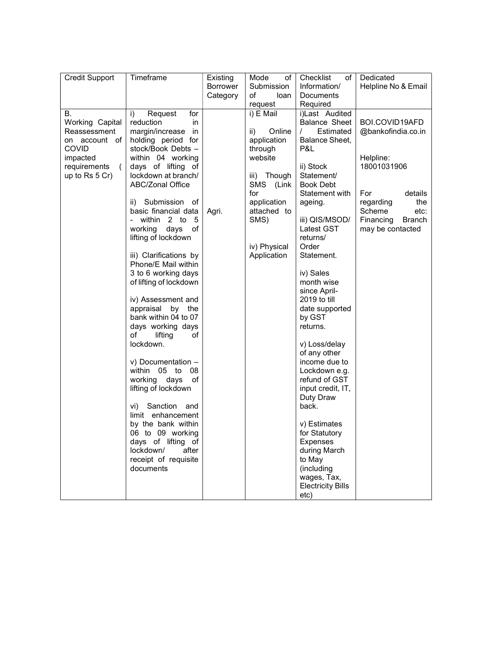| <b>Credit Support</b>                                                                                              | Timeframe                                                                                                                                                                                                                                                                                                                                                                                                                                                                                                                                                                                                                                                                                                                                                                                                                             | Existing          | Mode<br>οf<br>Submission                                                                                                                                                              | Checklist<br>оf<br>Information/                                                                                                                                                                                                                                                                                                                                                                                                                                                                                                                                                            | Dedicated                                                                                                                                                           |
|--------------------------------------------------------------------------------------------------------------------|---------------------------------------------------------------------------------------------------------------------------------------------------------------------------------------------------------------------------------------------------------------------------------------------------------------------------------------------------------------------------------------------------------------------------------------------------------------------------------------------------------------------------------------------------------------------------------------------------------------------------------------------------------------------------------------------------------------------------------------------------------------------------------------------------------------------------------------|-------------------|---------------------------------------------------------------------------------------------------------------------------------------------------------------------------------------|--------------------------------------------------------------------------------------------------------------------------------------------------------------------------------------------------------------------------------------------------------------------------------------------------------------------------------------------------------------------------------------------------------------------------------------------------------------------------------------------------------------------------------------------------------------------------------------------|---------------------------------------------------------------------------------------------------------------------------------------------------------------------|
|                                                                                                                    |                                                                                                                                                                                                                                                                                                                                                                                                                                                                                                                                                                                                                                                                                                                                                                                                                                       | Borrower          |                                                                                                                                                                                       |                                                                                                                                                                                                                                                                                                                                                                                                                                                                                                                                                                                            | Helpline No & Email                                                                                                                                                 |
|                                                                                                                    |                                                                                                                                                                                                                                                                                                                                                                                                                                                                                                                                                                                                                                                                                                                                                                                                                                       |                   | request                                                                                                                                                                               | Required                                                                                                                                                                                                                                                                                                                                                                                                                                                                                                                                                                                   |                                                                                                                                                                     |
| В.<br>Working Capital<br>Reassessment<br>on account of<br>COVID<br>impacted<br>requirements<br>(<br>up to Rs 5 Cr) | Request<br>for<br>i)<br>reduction<br>in<br>margin/increase<br>in<br>holding period for<br>stock/Book Debts -<br>within 04 working<br>days of lifting of<br>lockdown at branch/<br><b>ABC/Zonal Office</b><br>ii) Submission of<br>basic financial data<br>- within 2 to<br>5<br>working<br>days<br>of<br>lifting of lockdown<br>iii) Clarifications by<br>Phone/E Mail within<br>3 to 6 working days<br>of lifting of lockdown<br>iv) Assessment and<br>appraisal<br>by the<br>bank within 04 to 07<br>days working days<br>of<br>lifting<br>οf<br>lockdown.<br>v) Documentation -<br>within<br>05<br>to<br>08<br>working days<br>of<br>lifting of lockdown<br>Sanction<br>vi)<br>and<br>limit enhancement<br>by the bank within<br>06 to 09 working<br>days of lifting of<br>lockdown/<br>after<br>receipt of requisite<br>documents | Category<br>Agri. | of<br>loan<br>i) E Mail<br>Online<br>ii)<br>application<br>through<br>website<br>iii) Though<br>SMS (Link<br>for<br>application<br>attached to<br>SMS)<br>iv) Physical<br>Application | Documents<br>i)Last Audited<br><b>Balance Sheet</b><br>Estimated<br>$\prime$<br>Balance Sheet,<br>P&L<br>ii) Stock<br>Statement/<br><b>Book Debt</b><br>Statement with<br>ageing.<br>iii) QIS/MSOD/<br>Latest GST<br>returns/<br>Order<br>Statement.<br>iv) Sales<br>month wise<br>since April-<br>2019 to till<br>date supported<br>by GST<br>returns.<br>v) Loss/delay<br>of any other<br>income due to<br>Lockdown e.g.<br>refund of GST<br>input credit, IT,<br>Duty Draw<br>back.<br>v) Estimates<br>for Statutory<br>Expenses<br>during March<br>to May<br>(including<br>wages, Tax, | BOI.COVID19AFD<br>@bankofindia.co.in<br>Helpline:<br>18001031906<br>For<br>details<br>regarding<br>the<br>Scheme<br>etc:<br>Financing<br>Branch<br>may be contacted |
|                                                                                                                    |                                                                                                                                                                                                                                                                                                                                                                                                                                                                                                                                                                                                                                                                                                                                                                                                                                       |                   |                                                                                                                                                                                       | <b>Electricity Bills</b><br>etc)                                                                                                                                                                                                                                                                                                                                                                                                                                                                                                                                                           |                                                                                                                                                                     |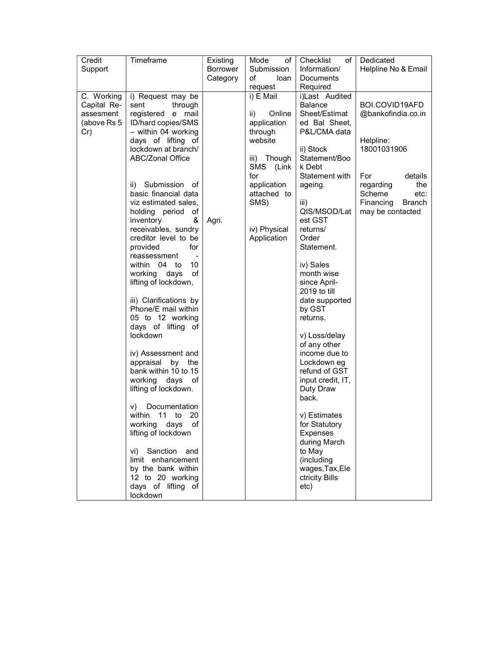| Credit      | Timeframe                                 | Existing        | Mode<br>of    | Checklist<br>of            | Dedicated           |
|-------------|-------------------------------------------|-----------------|---------------|----------------------------|---------------------|
| Support     |                                           | <b>Borrower</b> | Submission    | Information/               | Helpline No & Email |
|             |                                           | Category        | of<br>loan    | Documents                  |                     |
|             |                                           |                 | request       | Required                   |                     |
| C. Working  | i) Request may be                         |                 | i) E Mail     | i)Last Audited             |                     |
| Capital Re- | through<br>sent                           |                 |               | <b>Balance</b>             | BOI.COVID19AFD      |
| assesment   | registered e<br>mail                      |                 | Online<br>ii) | Sheet/Estimat              | @bankofindia.co.in  |
| (above Rs 5 | ID/hard copies/SMS                        |                 | application   | ed Bal Sheet,              |                     |
| Cr)         | - within 04 working                       |                 | through       | P&L/CMA data               |                     |
|             | days of lifting of                        |                 | website       |                            | Helpline:           |
|             | lockdown at branch/<br>ABC/Zonal Office   |                 | iii) Though   | ii) Stock<br>Statement/Boo | 18001031906         |
|             |                                           |                 | SMS (Link     | k Debt                     |                     |
|             |                                           |                 | for           | Statement with             | For<br>details      |
|             | ii) Submission of                         |                 | application   | ageing.                    | regarding<br>the    |
|             | basic financial data                      |                 | attached to   |                            | Scheme<br>etc:      |
|             | viz estimated sales,                      |                 | SMS)          | iii)                       | Financing<br>Branch |
|             | holding period of                         |                 |               | QIS/MSOD/Lat               | may be contacted    |
|             | inventory<br>&                            | Agri.           |               | est GST                    |                     |
|             | receivables, sundry                       |                 | iv) Physical  | returns/                   |                     |
|             | creditor level to be                      |                 | Application   | Order                      |                     |
|             | provided<br>for                           |                 |               | Statement.                 |                     |
|             | reassessment                              |                 |               |                            |                     |
|             | 10<br>within 04 to                        |                 |               | iv) Sales                  |                     |
|             | working days<br>of                        |                 |               | month wise<br>since April- |                     |
|             | lifting of lockdown,                      |                 |               | 2019 to till               |                     |
|             | iii) Clarifications by                    |                 |               | date supported             |                     |
|             | Phone/E mail within                       |                 |               | by GST                     |                     |
|             | 05 to 12 working                          |                 |               | returns.                   |                     |
|             | days of lifting of                        |                 |               |                            |                     |
|             | lockdown                                  |                 |               | v) Loss/delay              |                     |
|             |                                           |                 |               | of any other               |                     |
|             | iv) Assessment and                        |                 |               | income due to              |                     |
|             | appraisal by the                          |                 |               | Lockdown eg                |                     |
|             | bank within 10 to 15                      |                 |               | refund of GST              |                     |
|             | days<br>working<br>оf                     |                 |               | input credit, IT,          |                     |
|             | lifting of lockdown.                      |                 |               | Duty Draw                  |                     |
|             |                                           |                 |               | back.                      |                     |
|             | Documentation<br>V)<br>within<br>11 to 20 |                 |               | v) Estimates               |                     |
|             | working<br>days<br>оf                     |                 |               | for Statutory              |                     |
|             | lifting of lockdown                       |                 |               | <b>Expenses</b>            |                     |
|             |                                           |                 |               | during March               |                     |
|             | vi) Sanction and                          |                 |               | to May                     |                     |
|             | limit enhancement                         |                 |               | (including                 |                     |
|             | by the bank within                        |                 |               | wages, Tax, Ele            |                     |
|             | 12 to 20 working                          |                 |               | ctricity Bills             |                     |
|             | days of lifting of                        |                 |               | etc)                       |                     |
|             | lockdown                                  |                 |               |                            |                     |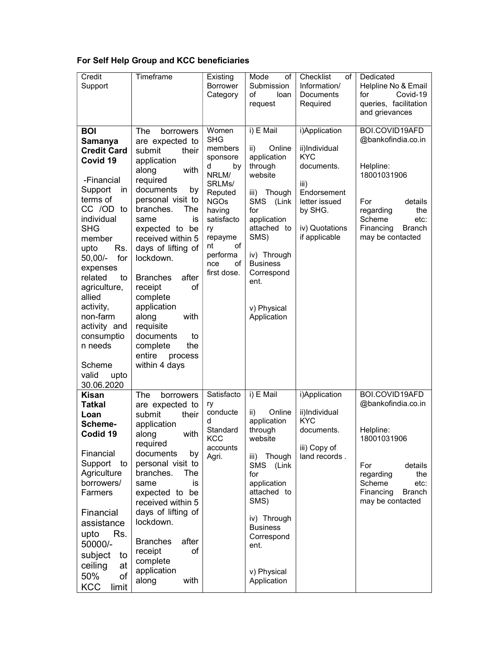## For Self Help Group and KCC beneficiaries

| Credit<br>Support                                                                                                                                                                                                                                                                                                                                          | Timeframe                                                                                                                                                                                                                                                                                                                                                                                                                                | Existing<br><b>Borrower</b><br>Category                                                                                                                                                         | Mode<br>οf<br>Submission<br>loan<br>οf<br>request                                                                                                                                                                                 | Checklist<br>of<br>Information/<br>Documents<br>Required                                                                                         | Dedicated<br>Helpline No & Email<br>for<br>Covid-19<br>queries, facilitation<br>and grievances                                                                             |
|------------------------------------------------------------------------------------------------------------------------------------------------------------------------------------------------------------------------------------------------------------------------------------------------------------------------------------------------------------|------------------------------------------------------------------------------------------------------------------------------------------------------------------------------------------------------------------------------------------------------------------------------------------------------------------------------------------------------------------------------------------------------------------------------------------|-------------------------------------------------------------------------------------------------------------------------------------------------------------------------------------------------|-----------------------------------------------------------------------------------------------------------------------------------------------------------------------------------------------------------------------------------|--------------------------------------------------------------------------------------------------------------------------------------------------|----------------------------------------------------------------------------------------------------------------------------------------------------------------------------|
| <b>BOI</b><br>Samanya<br><b>Credit Card</b><br>Covid 19<br>-Financial<br>Support<br>in<br>terms of<br>CC /OD to<br>individual<br><b>SHG</b><br>member<br>upto<br>Rs.<br>for<br>$50,00/-$<br>expenses<br>related<br>to<br>agriculture,<br>allied<br>activity,<br>non-farm<br>activity and<br>consumptio<br>n needs<br>Scheme<br>valid<br>upto<br>30.06.2020 | The<br>borrowers<br>are expected to<br>submit<br>their<br>application<br>along<br>with<br>required<br>documents<br>by<br>personal visit to<br>branches.<br>The<br>same<br>is<br>expected to be<br>received within 5<br>days of lifting of<br>lockdown.<br>after<br><b>Branches</b><br>receipt<br>of<br>complete<br>application<br>along<br>with<br>requisite<br>documents<br>to<br>the<br>complete<br>entire<br>process<br>within 4 days | Women<br><b>SHG</b><br>members<br>sponsore<br>by<br>d<br>NRLM/<br>SRLMs/<br>Reputed<br><b>NGOs</b><br>having<br>satisfacto<br>ry<br>repayme<br>of<br>nt<br>performa<br>nce<br>οf<br>first dose. | i) E Mail<br>Online<br>ii)<br>application<br>through<br>website<br>iii) Though<br>SMS<br>(Link<br>for<br>application<br>attached to<br>SMS)<br>iv) Through<br><b>Business</b><br>Correspond<br>ent.<br>v) Physical<br>Application | i)Application<br>ii)Individual<br><b>KYC</b><br>documents.<br>iii)<br>Endorsement<br>letter issued<br>by SHG.<br>iv) Quotations<br>if applicable | BOI.COVID19AFD<br>@bankofindia.co.in<br>Helpline:<br>18001031906<br>For<br>details<br>regarding<br>the<br>Scheme<br>etc:<br>Financing<br><b>Branch</b><br>may be contacted |
| <b>Kisan</b><br><b>Tatkal</b><br>Loan<br>Scheme-<br>Codid 19<br>Financial<br>Support to<br>Agriculture<br>borrowers/<br>Farmers<br>Financial<br>assistance<br>Rs.<br>upto<br>50000/-<br>subject<br>to<br>ceiling<br>at<br>50%<br>of<br><b>KCC</b><br>limit                                                                                                 | The<br>borrowers<br>are expected to<br>submit<br>their<br>application<br>along<br>with<br>required<br>documents<br>by<br>personal visit to<br>branches.<br>The<br>is<br>same<br>expected to be<br>received within 5<br>days of lifting of<br>lockdown.<br><b>Branches</b><br>after<br>receipt<br>οf<br>complete<br>application<br>along<br>with                                                                                          | Satisfacto<br>ry<br>conducte<br>d<br>Standard<br>KCC<br>accounts<br>Agri.                                                                                                                       | i) E Mail<br>Online<br>ii)<br>application<br>through<br>website<br>iii) Though<br>SMS<br>(Link<br>for<br>application<br>attached to<br>SMS)<br>iv) Through<br><b>Business</b><br>Correspond<br>ent.<br>v) Physical<br>Application | i)Application<br>ii)Individual<br><b>KYC</b><br>documents.<br>iii) Copy of<br>land records.                                                      | BOI.COVID19AFD<br>@bankofindia.co.in<br>Helpline:<br>18001031906<br>details<br>For<br>regarding<br>the<br>Scheme<br>etc:<br>Financing<br>Branch<br>may be contacted        |